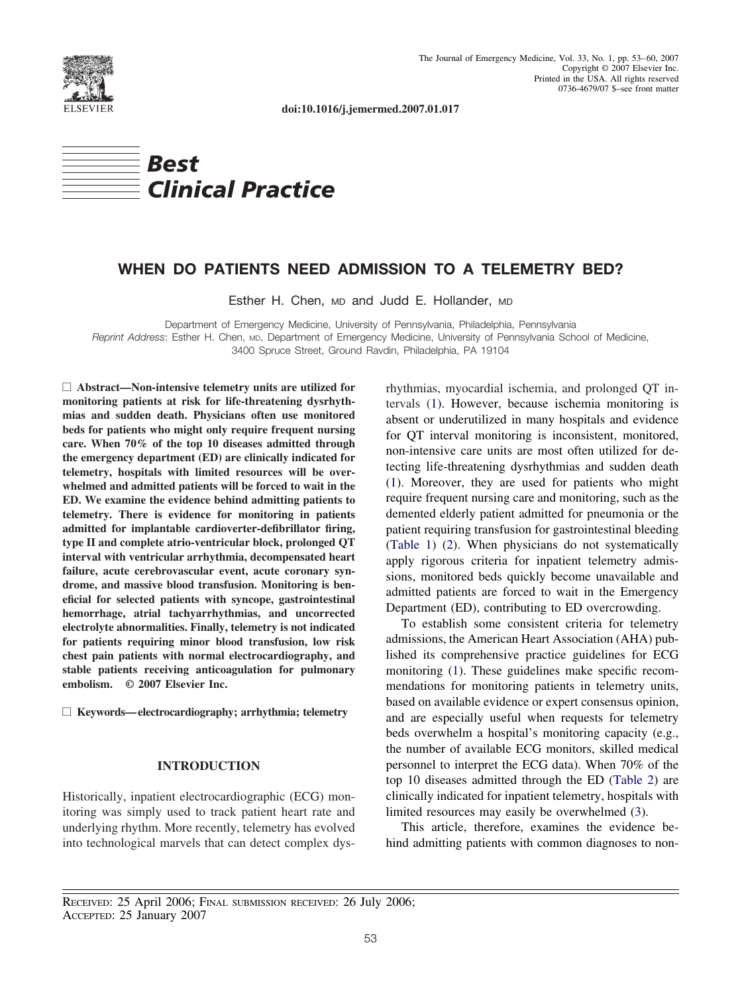

**doi:10.1016/j.jemermed.2007.01.017**



# **WHEN DO PATIENTS NEED ADMISSION TO A TELEMETRY BED?**

Esther H. Chen, MD and Judd E. Hollander, MD

Department of Emergency Medicine, University of Pennsylvania, Philadelphia, Pennsylvania *Reprint Address*: Esther H. Chen, MD, Department of Emergency Medicine, University of Pennsylvania School of Medicine, 3400 Spruce Street, Ground Ravdin, Philadelphia, PA 19104

□ Abstract—Non-intensive telemetry units are utilized for **monitoring patients at risk for life-threatening dysrhythmias and sudden death. Physicians often use monitored beds for patients who might only require frequent nursing care. When 70% of the top 10 diseases admitted through the emergency department (ED) are clinically indicated for telemetry, hospitals with limited resources will be overwhelmed and admitted patients will be forced to wait in the ED. We examine the evidence behind admitting patients to telemetry. There is evidence for monitoring in patients admitted for implantable cardioverter-defibrillator firing, type II and complete atrio-ventricular block, prolonged QT interval with ventricular arrhythmia, decompensated heart failure, acute cerebrovascular event, acute coronary syndrome, and massive blood transfusion. Monitoring is beneficial for selected patients with syncope, gastrointestinal hemorrhage, atrial tachyarrhythmias, and uncorrected electrolyte abnormalities. Finally, telemetry is not indicated for patients requiring minor blood transfusion, low risk chest pain patients with normal electrocardiography, and stable patients receiving anticoagulation for pulmonary embolism. © 2007 Elsevier Inc.**

□ Keywords—electrocardiography; arrhythmia; telemetry

### **INTRODUCTION**

Historically, inpatient electrocardiographic (ECG) monitoring was simply used to track patient heart rate and underlying rhythm. More recently, telemetry has evolved into technological marvels that can detect complex dys-

rhythmias, myocardial ischemia, and prolonged QT intervals [\(1\)](#page-6-0). However, because ischemia monitoring is absent or underutilized in many hospitals and evidence for QT interval monitoring is inconsistent, monitored, non-intensive care units are most often utilized for detecting life-threatening dysrhythmias and sudden death [\(1\)](#page-6-0). Moreover, they are used for patients who might require frequent nursing care and monitoring, such as the demented elderly patient admitted for pneumonia or the patient requiring transfusion for gastrointestinal bleeding [\(Table 1\)](#page-1-0) [\(2\)](#page-6-0). When physicians do not systematically apply rigorous criteria for inpatient telemetry admissions, monitored beds quickly become unavailable and admitted patients are forced to wait in the Emergency Department (ED), contributing to ED overcrowding.

To establish some consistent criteria for telemetry admissions, the American Heart Association (AHA) published its comprehensive practice guidelines for ECG monitoring [\(1\)](#page-6-0). These guidelines make specific recommendations for monitoring patients in telemetry units, based on available evidence or expert consensus opinion, and are especially useful when requests for telemetry beds overwhelm a hospital's monitoring capacity (e.g., the number of available ECG monitors, skilled medical personnel to interpret the ECG data). When 70% of the top 10 diseases admitted through the ED [\(Table 2\)](#page-1-0) are clinically indicated for inpatient telemetry, hospitals with limited resources may easily be overwhelmed [\(3\)](#page-6-0).

This article, therefore, examines the evidence behind admitting patients with common diagnoses to non-

RECEIVED: 25 April 2006; FINAL SUBMISSION RECEIVED: 26 July 2006; ACCEPTED: 25 January 2007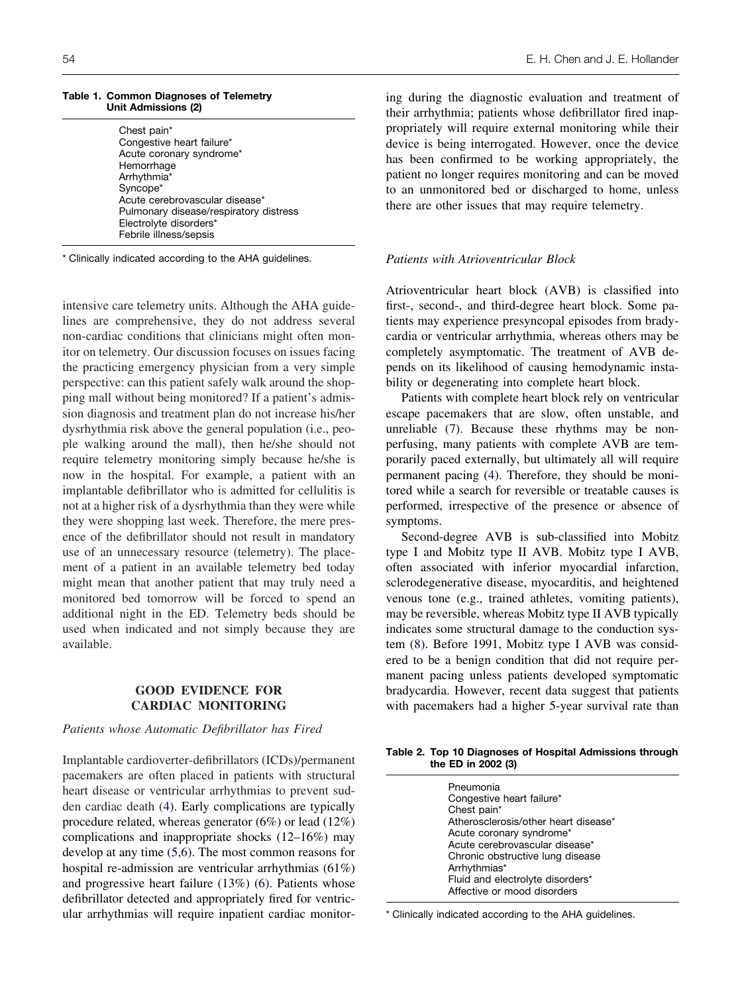<span id="page-1-0"></span>

| Table 1. Common Diagnoses of Telemetry |
|----------------------------------------|
| Unit Admissions (2)                    |

| Chest pain*                            |
|----------------------------------------|
| Congestive heart failure*              |
|                                        |
| Acute coronary syndrome*               |
| Hemorrhage                             |
| Arrhythmia*                            |
| Syncope*                               |
| Acute cerebrovascular disease*         |
| Pulmonary disease/respiratory distress |
| Electrolyte disorders*                 |
|                                        |
| Febrile illness/sepsis                 |
|                                        |

\* Clinically indicated according to the AHA guidelines.

intensive care telemetry units. Although the AHA guidelines are comprehensive, they do not address several non-cardiac conditions that clinicians might often monitor on telemetry. Our discussion focuses on issues facing the practicing emergency physician from a very simple perspective: can this patient safely walk around the shopping mall without being monitored? If a patient's admission diagnosis and treatment plan do not increase his/her dysrhythmia risk above the general population (i.e., people walking around the mall), then he/she should not require telemetry monitoring simply because he/she is now in the hospital. For example, a patient with an implantable defibrillator who is admitted for cellulitis is not at a higher risk of a dysrhythmia than they were while they were shopping last week. Therefore, the mere presence of the defibrillator should not result in mandatory use of an unnecessary resource (telemetry). The placement of a patient in an available telemetry bed today might mean that another patient that may truly need a monitored bed tomorrow will be forced to spend an additional night in the ED. Telemetry beds should be used when indicated and not simply because they are available.

### **GOOD EVIDENCE FOR CARDIAC MONITORING**

# *Patients whose Automatic Defibrillator has Fired*

Implantable cardioverter-defibrillators (ICDs)/permanent pacemakers are often placed in patients with structural heart disease or ventricular arrhythmias to prevent sudden cardiac death [\(4\)](#page-6-0). Early complications are typically procedure related, whereas generator (6%) or lead (12%) complications and inappropriate shocks (12–16%) may develop at any time [\(5,6\)](#page-6-0). The most common reasons for hospital re-admission are ventricular arrhythmias (61%) and progressive heart failure (13%) [\(6\)](#page-6-0). Patients whose defibrillator detected and appropriately fired for ventricular arrhythmias will require inpatient cardiac monitor-

ing during the diagnostic evaluation and treatment of their arrhythmia; patients whose defibrillator fired inappropriately will require external monitoring while their device is being interrogated. However, once the device has been confirmed to be working appropriately, the patient no longer requires monitoring and can be moved to an unmonitored bed or discharged to home, unless there are other issues that may require telemetry.

### *Patients with Atrioventricular Block*

Atrioventricular heart block (AVB) is classified into first-, second-, and third-degree heart block. Some patients may experience presyncopal episodes from bradycardia or ventricular arrhythmia, whereas others may be completely asymptomatic. The treatment of AVB depends on its likelihood of causing hemodynamic instability or degenerating into complete heart block.

Patients with complete heart block rely on ventricular escape pacemakers that are slow, often unstable, and unreliable [\(7\)](#page-6-0). Because these rhythms may be nonperfusing, many patients with complete AVB are temporarily paced externally, but ultimately all will require permanent pacing [\(4\)](#page-6-0). Therefore, they should be monitored while a search for reversible or treatable causes is performed, irrespective of the presence or absence of symptoms.

Second-degree AVB is sub-classified into Mobitz type I and Mobitz type II AVB. Mobitz type I AVB, often associated with inferior myocardial infarction, sclerodegenerative disease, myocarditis, and heightened venous tone (e.g., trained athletes, vomiting patients), may be reversible, whereas Mobitz type II AVB typically indicates some structural damage to the conduction system [\(8\)](#page-6-0). Before 1991, Mobitz type I AVB was considered to be a benign condition that did not require permanent pacing unless patients developed symptomatic bradycardia. However, recent data suggest that patients with pacemakers had a higher 5-year survival rate than

**Table 2. Top 10 Diagnoses of Hospital Admissions through the ED in 2002 (3)**

| Pneumonia                            |
|--------------------------------------|
|                                      |
| Congestive heart failure*            |
| Chest pain*                          |
| Atherosclerosis/other heart disease* |
| Acute coronary syndrome*             |
| Acute cerebrovascular disease*       |
| Chronic obstructive lung disease     |
| Arrhythmias*                         |
| Fluid and electrolyte disorders*     |
| Affective or mood disorders          |
|                                      |

\* Clinically indicated according to the AHA guidelines.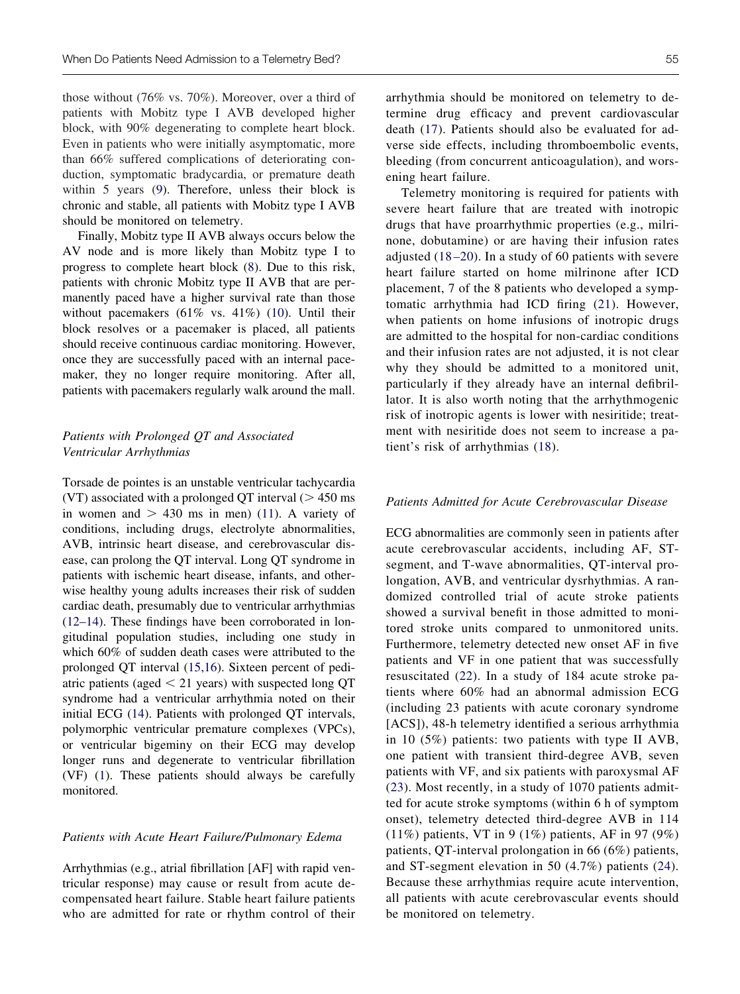those without (76% vs. 70%). Moreover, over a third of patients with Mobitz type I AVB developed higher block, with 90% degenerating to complete heart block. Even in patients who were initially asymptomatic, more than 66% suffered complications of deteriorating conduction, symptomatic bradycardia, or premature death within 5 years [\(9\)](#page-6-0). Therefore, unless their block is chronic and stable, all patients with Mobitz type I AVB should be monitored on telemetry.

Finally, Mobitz type II AVB always occurs below the AV node and is more likely than Mobitz type I to progress to complete heart block [\(8\)](#page-6-0). Due to this risk, patients with chronic Mobitz type II AVB that are permanently paced have a higher survival rate than those without pacemakers (61% vs. 41%) [\(10\)](#page-6-0). Until their block resolves or a pacemaker is placed, all patients should receive continuous cardiac monitoring. However, once they are successfully paced with an internal pacemaker, they no longer require monitoring. After all, patients with pacemakers regularly walk around the mall.

# *Patients with Prolonged QT and Associated Ventricular Arrhythmias*

Torsade de pointes is an unstable ventricular tachycardia (VT) associated with a prolonged QT interval  $($  > 450 ms in women and  $> 430$  ms in men) [\(11\)](#page-6-0). A variety of conditions, including drugs, electrolyte abnormalities, AVB, intrinsic heart disease, and cerebrovascular disease, can prolong the QT interval. Long QT syndrome in patients with ischemic heart disease, infants, and otherwise healthy young adults increases their risk of sudden cardiac death, presumably due to ventricular arrhythmias [\(12–14\)](#page-6-0). These findings have been corroborated in longitudinal population studies, including one study in which 60% of sudden death cases were attributed to the prolonged QT interval [\(15,16\)](#page-6-0). Sixteen percent of pediatric patients (aged  $\leq$  21 years) with suspected long QT syndrome had a ventricular arrhythmia noted on their initial ECG [\(14\)](#page-6-0). Patients with prolonged QT intervals, polymorphic ventricular premature complexes (VPCs), or ventricular bigeminy on their ECG may develop longer runs and degenerate to ventricular fibrillation (VF) [\(1\)](#page-6-0). These patients should always be carefully monitored.

### *Patients with Acute Heart Failure/Pulmonary Edema*

Arrhythmias (e.g., atrial fibrillation [AF] with rapid ventricular response) may cause or result from acute decompensated heart failure. Stable heart failure patients who are admitted for rate or rhythm control of their

arrhythmia should be monitored on telemetry to determine drug efficacy and prevent cardiovascular death [\(17\)](#page-6-0). Patients should also be evaluated for adverse side effects, including thromboembolic events, bleeding (from concurrent anticoagulation), and worsening heart failure.

Telemetry monitoring is required for patients with severe heart failure that are treated with inotropic drugs that have proarrhythmic properties (e.g., milrinone, dobutamine) or are having their infusion rates adjusted [\(18 –20\)](#page-6-0). In a study of 60 patients with severe heart failure started on home milrinone after ICD placement, 7 of the 8 patients who developed a symptomatic arrhythmia had ICD firing [\(21\)](#page-6-0). However, when patients on home infusions of inotropic drugs are admitted to the hospital for non-cardiac conditions and their infusion rates are not adjusted, it is not clear why they should be admitted to a monitored unit, particularly if they already have an internal defibrillator. It is also worth noting that the arrhythmogenic risk of inotropic agents is lower with nesiritide; treatment with nesiritide does not seem to increase a patient's risk of arrhythmias [\(18\)](#page-6-0).

### *Patients Admitted for Acute Cerebrovascular Disease*

ECG abnormalities are commonly seen in patients after acute cerebrovascular accidents, including AF, STsegment, and T-wave abnormalities, QT-interval prolongation, AVB, and ventricular dysrhythmias. A randomized controlled trial of acute stroke patients showed a survival benefit in those admitted to monitored stroke units compared to unmonitored units. Furthermore, telemetry detected new onset AF in five patients and VF in one patient that was successfully resuscitated [\(22\)](#page-6-0). In a study of 184 acute stroke patients where 60% had an abnormal admission ECG (including 23 patients with acute coronary syndrome [ACS]), 48-h telemetry identified a serious arrhythmia in 10 (5%) patients: two patients with type II AVB, one patient with transient third-degree AVB, seven patients with VF, and six patients with paroxysmal AF [\(23\)](#page-6-0). Most recently, in a study of 1070 patients admitted for acute stroke symptoms (within 6 h of symptom onset), telemetry detected third-degree AVB in 114 (11%) patients, VT in 9 (1%) patients, AF in 97 (9%) patients, QT-interval prolongation in 66 (6%) patients, and ST-segment elevation in 50 (4.7%) patients [\(24\)](#page-6-0). Because these arrhythmias require acute intervention, all patients with acute cerebrovascular events should be monitored on telemetry.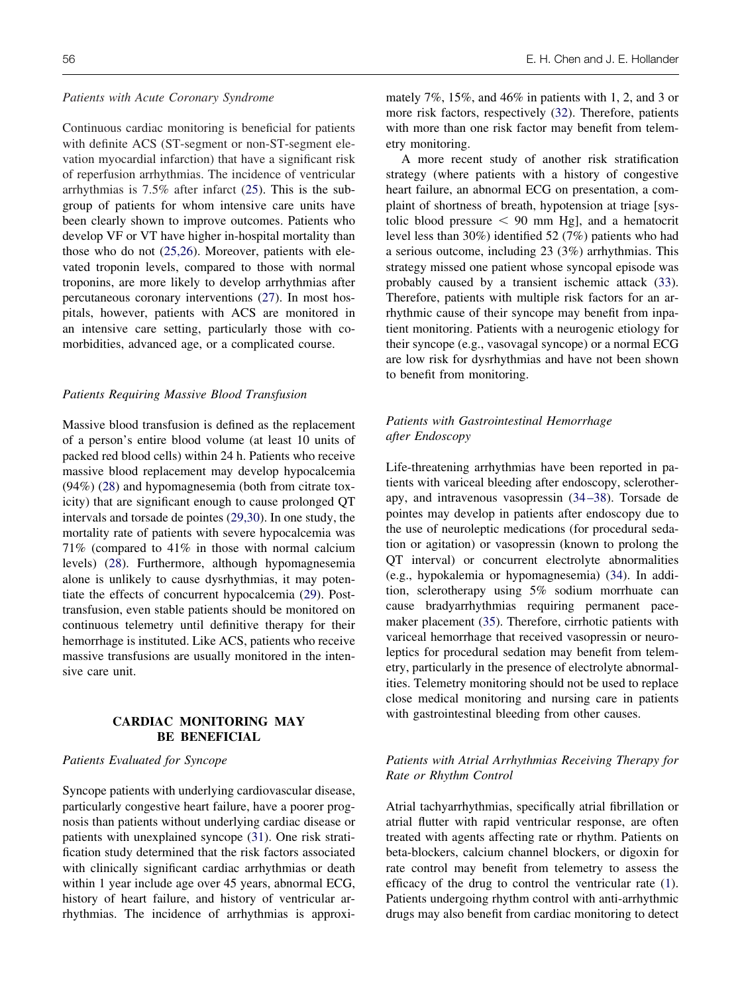#### *Patients with Acute Coronary Syndrome*

Continuous cardiac monitoring is beneficial for patients with definite ACS (ST-segment or non-ST-segment elevation myocardial infarction) that have a significant risk of reperfusion arrhythmias. The incidence of ventricular arrhythmias is 7.5% after infarct [\(25\)](#page-6-0). This is the subgroup of patients for whom intensive care units have been clearly shown to improve outcomes. Patients who develop VF or VT have higher in-hospital mortality than those who do not [\(25,26\)](#page-6-0). Moreover, patients with elevated troponin levels, compared to those with normal troponins, are more likely to develop arrhythmias after percutaneous coronary interventions [\(27\)](#page-6-0). In most hospitals, however, patients with ACS are monitored in an intensive care setting, particularly those with comorbidities, advanced age, or a complicated course.

### *Patients Requiring Massive Blood Transfusion*

Massive blood transfusion is defined as the replacement of a person's entire blood volume (at least 10 units of packed red blood cells) within 24 h. Patients who receive massive blood replacement may develop hypocalcemia (94%) [\(28\)](#page-6-0) and hypomagnesemia (both from citrate toxicity) that are significant enough to cause prolonged QT intervals and torsade de pointes [\(29,30\)](#page-6-0). In one study, the mortality rate of patients with severe hypocalcemia was 71% (compared to 41% in those with normal calcium levels) [\(28\)](#page-6-0). Furthermore, although hypomagnesemia alone is unlikely to cause dysrhythmias, it may potentiate the effects of concurrent hypocalcemia [\(29\)](#page-6-0). Posttransfusion, even stable patients should be monitored on continuous telemetry until definitive therapy for their hemorrhage is instituted. Like ACS, patients who receive massive transfusions are usually monitored in the intensive care unit.

# **CARDIAC MONITORING MAY BE BENEFICIAL**

### *Patients Evaluated for Syncope*

Syncope patients with underlying cardiovascular disease, particularly congestive heart failure, have a poorer prognosis than patients without underlying cardiac disease or patients with unexplained syncope [\(31\)](#page-6-0). One risk stratification study determined that the risk factors associated with clinically significant cardiac arrhythmias or death within 1 year include age over 45 years, abnormal ECG, history of heart failure, and history of ventricular arrhythmias. The incidence of arrhythmias is approximately 7%, 15%, and 46% in patients with 1, 2, and 3 or more risk factors, respectively [\(32\)](#page-6-0). Therefore, patients with more than one risk factor may benefit from telemetry monitoring.

A more recent study of another risk stratification strategy (where patients with a history of congestive heart failure, an abnormal ECG on presentation, a complaint of shortness of breath, hypotension at triage [systolic blood pressure  $\leq$  90 mm Hg], and a hematocrit level less than 30%) identified 52 (7%) patients who had a serious outcome, including 23 (3%) arrhythmias. This strategy missed one patient whose syncopal episode was probably caused by a transient ischemic attack [\(33\)](#page-7-0). Therefore, patients with multiple risk factors for an arrhythmic cause of their syncope may benefit from inpatient monitoring. Patients with a neurogenic etiology for their syncope (e.g., vasovagal syncope) or a normal ECG are low risk for dysrhythmias and have not been shown to benefit from monitoring.

# *Patients with Gastrointestinal Hemorrhage after Endoscopy*

Life-threatening arrhythmias have been reported in patients with variceal bleeding after endoscopy, sclerotherapy, and intravenous vasopressin [\(34 –38\)](#page-7-0). Torsade de pointes may develop in patients after endoscopy due to the use of neuroleptic medications (for procedural sedation or agitation) or vasopressin (known to prolong the QT interval) or concurrent electrolyte abnormalities (e.g., hypokalemia or hypomagnesemia) [\(34\)](#page-7-0). In addition, sclerotherapy using 5% sodium morrhuate can cause bradyarrhythmias requiring permanent pacemaker placement [\(35\)](#page-7-0). Therefore, cirrhotic patients with variceal hemorrhage that received vasopressin or neuroleptics for procedural sedation may benefit from telemetry, particularly in the presence of electrolyte abnormalities. Telemetry monitoring should not be used to replace close medical monitoring and nursing care in patients with gastrointestinal bleeding from other causes.

# *Patients with Atrial Arrhythmias Receiving Therapy for Rate or Rhythm Control*

Atrial tachyarrhythmias, specifically atrial fibrillation or atrial flutter with rapid ventricular response, are often treated with agents affecting rate or rhythm. Patients on beta-blockers, calcium channel blockers, or digoxin for rate control may benefit from telemetry to assess the efficacy of the drug to control the ventricular rate [\(1\)](#page-6-0). Patients undergoing rhythm control with anti-arrhythmic drugs may also benefit from cardiac monitoring to detect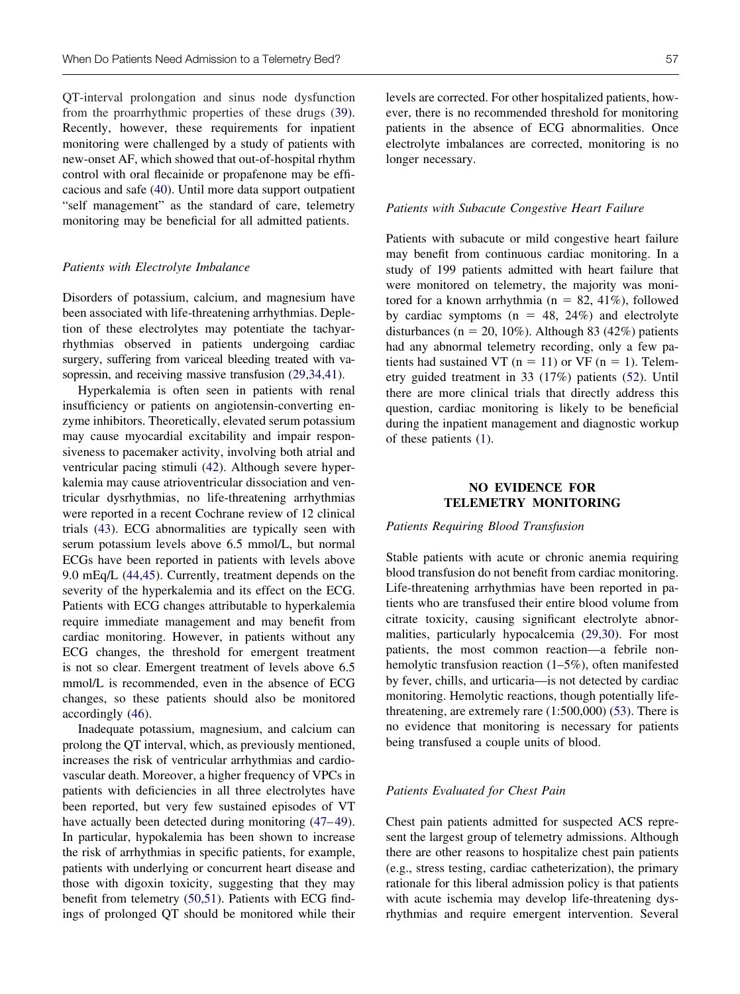QT-interval prolongation and sinus node dysfunction from the proarrhythmic properties of these drugs [\(39\)](#page-7-0). Recently, however, these requirements for inpatient monitoring were challenged by a study of patients with new-onset AF, which showed that out-of-hospital rhythm control with oral flecainide or propafenone may be efficacious and safe [\(40\)](#page-7-0). Until more data support outpatient "self management" as the standard of care, telemetry monitoring may be beneficial for all admitted patients.

#### *Patients with Electrolyte Imbalance*

Disorders of potassium, calcium, and magnesium have been associated with life-threatening arrhythmias. Depletion of these electrolytes may potentiate the tachyarrhythmias observed in patients undergoing cardiac surgery, suffering from variceal bleeding treated with vasopressin, and receiving massive transfusion  $(29,34,41)$ .

Hyperkalemia is often seen in patients with renal insufficiency or patients on angiotensin-converting enzyme inhibitors. Theoretically, elevated serum potassium may cause myocardial excitability and impair responsiveness to pacemaker activity, involving both atrial and ventricular pacing stimuli [\(42\)](#page-7-0). Although severe hyperkalemia may cause atrioventricular dissociation and ventricular dysrhythmias, no life-threatening arrhythmias were reported in a recent Cochrane review of 12 clinical trials [\(43\)](#page-7-0). ECG abnormalities are typically seen with serum potassium levels above 6.5 mmol/L, but normal ECGs have been reported in patients with levels above 9.0 mEq/L [\(44,45\)](#page-7-0). Currently, treatment depends on the severity of the hyperkalemia and its effect on the ECG. Patients with ECG changes attributable to hyperkalemia require immediate management and may benefit from cardiac monitoring. However, in patients without any ECG changes, the threshold for emergent treatment is not so clear. Emergent treatment of levels above 6.5 mmol/L is recommended, even in the absence of ECG changes, so these patients should also be monitored accordingly [\(46\)](#page-7-0).

Inadequate potassium, magnesium, and calcium can prolong the QT interval, which, as previously mentioned, increases the risk of ventricular arrhythmias and cardiovascular death. Moreover, a higher frequency of VPCs in patients with deficiencies in all three electrolytes have been reported, but very few sustained episodes of VT have actually been detected during monitoring (47–49). In particular, hypokalemia has been shown to increase the risk of arrhythmias in specific patients, for example, patients with underlying or concurrent heart disease and those with digoxin toxicity, suggesting that they may benefit from telemetry [\(50,51\)](#page-7-0). Patients with ECG findings of prolonged QT should be monitored while their

levels are corrected. For other hospitalized patients, however, there is no recommended threshold for monitoring patients in the absence of ECG abnormalities. Once

#### *Patients with Subacute Congestive Heart Failure*

longer necessary.

electrolyte imbalances are corrected, monitoring is no

Patients with subacute or mild congestive heart failure may benefit from continuous cardiac monitoring. In a study of 199 patients admitted with heart failure that were monitored on telemetry, the majority was monitored for a known arrhythmia ( $n = 82, 41\%$ ), followed by cardiac symptoms ( $n = 48, 24\%$ ) and electrolyte disturbances (n = 20, 10%). Although 83 (42%) patients had any abnormal telemetry recording, only a few patients had sustained VT ( $n = 11$ ) or VF ( $n = 1$ ). Telemetry guided treatment in 33 (17%) patients [\(52\)](#page-7-0). Until there are more clinical trials that directly address this question, cardiac monitoring is likely to be beneficial during the inpatient management and diagnostic workup of these patients [\(1\)](#page-6-0).

# **NO EVIDENCE FOR TELEMETRY MONITORING**

*Patients Requiring Blood Transfusion*

Stable patients with acute or chronic anemia requiring blood transfusion do not benefit from cardiac monitoring. Life-threatening arrhythmias have been reported in patients who are transfused their entire blood volume from citrate toxicity, causing significant electrolyte abnormalities, particularly hypocalcemia [\(29,30\)](#page-6-0). For most patients, the most common reaction—a febrile nonhemolytic transfusion reaction (1–5%), often manifested by fever, chills, and urticaria—is not detected by cardiac monitoring. Hemolytic reactions, though potentially lifethreatening, are extremely rare (1:500,000) [\(53\)](#page-7-0). There is no evidence that monitoring is necessary for patients being transfused a couple units of blood.

#### *Patients Evaluated for Chest Pain*

Chest pain patients admitted for suspected ACS represent the largest group of telemetry admissions. Although there are other reasons to hospitalize chest pain patients (e.g., stress testing, cardiac catheterization), the primary rationale for this liberal admission policy is that patients with acute ischemia may develop life-threatening dysrhythmias and require emergent intervention. Several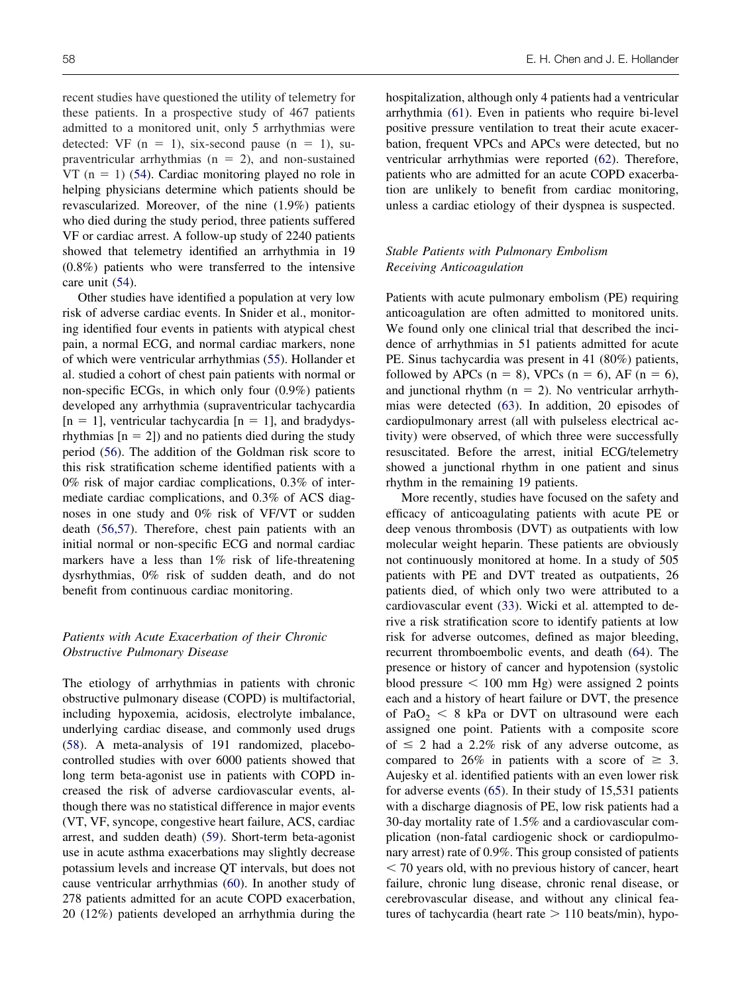recent studies have questioned the utility of telemetry for these patients. In a prospective study of 467 patients admitted to a monitored unit, only 5 arrhythmias were detected: VF  $(n = 1)$ , six-second pause  $(n = 1)$ , supraventricular arrhythmias ( $n = 2$ ), and non-sustained VT  $(n = 1)$  [\(54\)](#page-7-0). Cardiac monitoring played no role in helping physicians determine which patients should be revascularized. Moreover, of the nine (1.9%) patients who died during the study period, three patients suffered VF or cardiac arrest. A follow-up study of 2240 patients showed that telemetry identified an arrhythmia in 19 (0.8%) patients who were transferred to the intensive care unit [\(54\)](#page-7-0).

Other studies have identified a population at very low risk of adverse cardiac events. In Snider et al., monitoring identified four events in patients with atypical chest pain, a normal ECG, and normal cardiac markers, none of which were ventricular arrhythmias [\(55\)](#page-7-0). Hollander et al. studied a cohort of chest pain patients with normal or non-specific ECGs, in which only four (0.9%) patients developed any arrhythmia (supraventricular tachycardia  $[n = 1]$ , ventricular tachycardia  $[n = 1]$ , and bradydysrhythmias  $[n = 2]$ ) and no patients died during the study period [\(56\)](#page-7-0). The addition of the Goldman risk score to this risk stratification scheme identified patients with a 0% risk of major cardiac complications, 0.3% of intermediate cardiac complications, and 0.3% of ACS diagnoses in one study and 0% risk of VF/VT or sudden death [\(56,57\)](#page-7-0). Therefore, chest pain patients with an initial normal or non-specific ECG and normal cardiac markers have a less than 1% risk of life-threatening dysrhythmias, 0% risk of sudden death, and do not benefit from continuous cardiac monitoring.

### *Patients with Acute Exacerbation of their Chronic Obstructive Pulmonary Disease*

The etiology of arrhythmias in patients with chronic obstructive pulmonary disease (COPD) is multifactorial, including hypoxemia, acidosis, electrolyte imbalance, underlying cardiac disease, and commonly used drugs [\(58\)](#page-7-0). A meta-analysis of 191 randomized, placebocontrolled studies with over 6000 patients showed that long term beta-agonist use in patients with COPD increased the risk of adverse cardiovascular events, although there was no statistical difference in major events (VT, VF, syncope, congestive heart failure, ACS, cardiac arrest, and sudden death) [\(59\)](#page-7-0). Short-term beta-agonist use in acute asthma exacerbations may slightly decrease potassium levels and increase QT intervals, but does not cause ventricular arrhythmias [\(60\)](#page-7-0). In another study of 278 patients admitted for an acute COPD exacerbation, 20 (12%) patients developed an arrhythmia during the hospitalization, although only 4 patients had a ventricular arrhythmia [\(61\)](#page-7-0). Even in patients who require bi-level positive pressure ventilation to treat their acute exacerbation, frequent VPCs and APCs were detected, but no ventricular arrhythmias were reported [\(62\)](#page-7-0). Therefore, patients who are admitted for an acute COPD exacerbation are unlikely to benefit from cardiac monitoring, unless a cardiac etiology of their dyspnea is suspected.

# *Stable Patients with Pulmonary Embolism Receiving Anticoagulation*

Patients with acute pulmonary embolism (PE) requiring anticoagulation are often admitted to monitored units. We found only one clinical trial that described the incidence of arrhythmias in 51 patients admitted for acute PE. Sinus tachycardia was present in 41 (80%) patients, followed by APCs ( $n = 8$ ), VPCs ( $n = 6$ ), AF ( $n = 6$ ), and junctional rhythm ( $n = 2$ ). No ventricular arrhythmias were detected [\(63\)](#page-7-0). In addition, 20 episodes of cardiopulmonary arrest (all with pulseless electrical activity) were observed, of which three were successfully resuscitated. Before the arrest, initial ECG/telemetry showed a junctional rhythm in one patient and sinus rhythm in the remaining 19 patients.

More recently, studies have focused on the safety and efficacy of anticoagulating patients with acute PE or deep venous thrombosis (DVT) as outpatients with low molecular weight heparin. These patients are obviously not continuously monitored at home. In a study of 505 patients with PE and DVT treated as outpatients, 26 patients died, of which only two were attributed to a cardiovascular event [\(33\)](#page-7-0). Wicki et al. attempted to derive a risk stratification score to identify patients at low risk for adverse outcomes, defined as major bleeding, recurrent thromboembolic events, and death [\(64\)](#page-7-0). The presence or history of cancer and hypotension (systolic blood pressure  $\leq 100$  mm Hg) were assigned 2 points each and a history of heart failure or DVT, the presence of  $PaO<sub>2</sub> < 8$  kPa or DVT on ultrasound were each assigned one point. Patients with a composite score of  $\leq$  2 had a 2.2% risk of any adverse outcome, as compared to 26% in patients with a score of  $\geq$  3. Aujesky et al. identified patients with an even lower risk for adverse events [\(65\)](#page-7-0). In their study of 15,531 patients with a discharge diagnosis of PE, low risk patients had a 30-day mortality rate of 1.5% and a cardiovascular complication (non-fatal cardiogenic shock or cardiopulmonary arrest) rate of 0.9%. This group consisted of patients - 70 years old, with no previous history of cancer, heart failure, chronic lung disease, chronic renal disease, or cerebrovascular disease, and without any clinical features of tachycardia (heart rate  $> 110$  beats/min), hypo-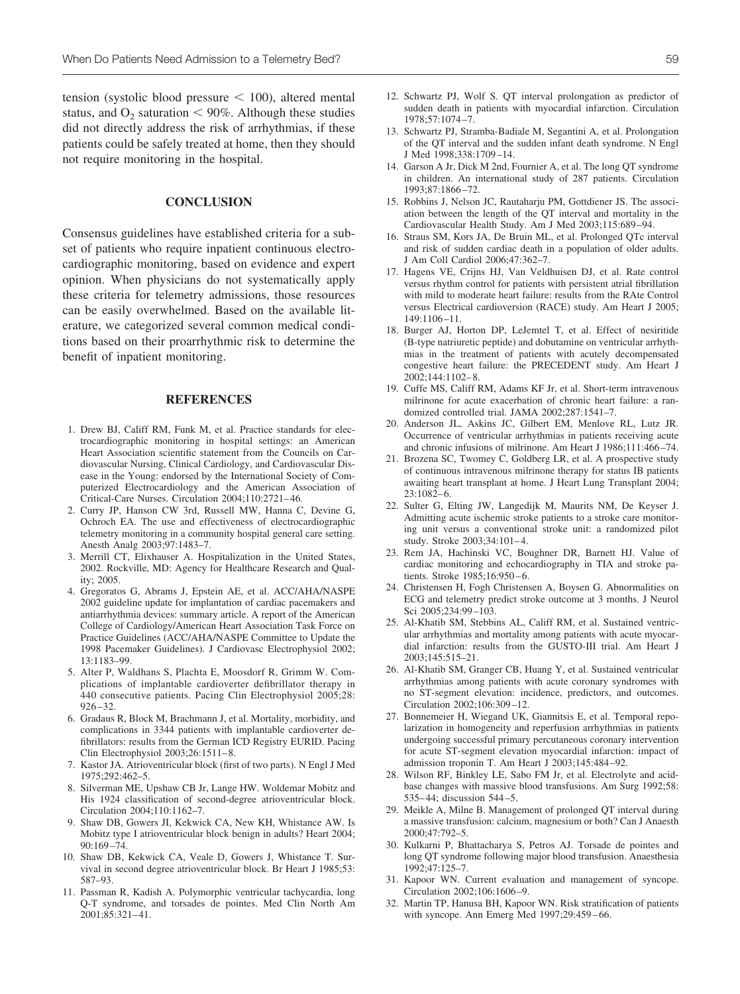<span id="page-6-0"></span> $tension$  (systolic blood pressure  $\leq 100$ ), altered mental status, and  $O_2$  saturation  $\leq 90\%$ . Although these studies did not directly address the risk of arrhythmias, if these patients could be safely treated at home, then they should not require monitoring in the hospital.

### **CONCLUSION**

Consensus guidelines have established criteria for a subset of patients who require inpatient continuous electrocardiographic monitoring, based on evidence and expert opinion. When physicians do not systematically apply these criteria for telemetry admissions, those resources can be easily overwhelmed. Based on the available literature, we categorized several common medical conditions based on their proarrhythmic risk to determine the benefit of inpatient monitoring.

### **REFERENCES**

- 1. Drew BJ, Califf RM, Funk M, et al. Practice standards for electrocardiographic monitoring in hospital settings: an American Heart Association scientific statement from the Councils on Cardiovascular Nursing, Clinical Cardiology, and Cardiovascular Disease in the Young: endorsed by the International Society of Computerized Electrocardiology and the American Association of Critical-Care Nurses. Circulation 2004;110:2721– 46.
- 2. Curry JP, Hanson CW 3rd, Russell MW, Hanna C, Devine G, Ochroch EA. The use and effectiveness of electrocardiographic telemetry monitoring in a community hospital general care setting. Anesth Analg 2003;97:1483–7.
- 3. Merrill CT, Elixhauser A. Hospitalization in the United States, 2002. Rockville, MD: Agency for Healthcare Research and Quality; 2005.
- 4. Gregoratos G, Abrams J, Epstein AE, et al. ACC/AHA/NASPE 2002 guideline update for implantation of cardiac pacemakers and antiarrhythmia devices: summary article. A report of the American College of Cardiology/American Heart Association Task Force on Practice Guidelines (ACC/AHA/NASPE Committee to Update the 1998 Pacemaker Guidelines). J Cardiovasc Electrophysiol 2002; 13:1183–99.
- 5. Alter P, Waldhans S, Plachta E, Moosdorf R, Grimm W. Complications of implantable cardioverter defibrillator therapy in 440 consecutive patients. Pacing Clin Electrophysiol 2005;28:  $926 - 32.$
- 6. Gradaus R, Block M, Brachmann J, et al. Mortality, morbidity, and complications in 3344 patients with implantable cardioverter defibrillators: results from the German ICD Registry EURID. Pacing Clin Electrophysiol 2003;26:1511– 8.
- 7. Kastor JA. Atrioventricular block (first of two parts). N Engl J Med 1975;292:462–5.
- 8. Silverman ME, Upshaw CB Jr, Lange HW. Woldemar Mobitz and His 1924 classification of second-degree atrioventricular block. Circulation 2004;110:1162–7.
- 9. Shaw DB, Gowers JI, Kekwick CA, New KH, Whistance AW. Is Mobitz type I atrioventricular block benign in adults? Heart 2004; 90:169 –74.
- 10. Shaw DB, Kekwick CA, Veale D, Gowers J, Whistance T. Survival in second degree atrioventricular block. Br Heart J 1985;53: 587–93.
- 11. Passman R, Kadish A. Polymorphic ventricular tachycardia, long Q-T syndrome, and torsades de pointes. Med Clin North Am 2001;85:321– 41.
- 12. Schwartz PJ, Wolf S. QT interval prolongation as predictor of sudden death in patients with myocardial infarction. Circulation 1978;57:1074 –7.
- 13. Schwartz PJ, Stramba-Badiale M, Segantini A, et al. Prolongation of the QT interval and the sudden infant death syndrome. N Engl J Med 1998;338:1709 –14.
- 14. Garson A Jr, Dick M 2nd, Fournier A, et al. The long QT syndrome in children. An international study of 287 patients. Circulation 1993;87:1866 –72.
- 15. Robbins J, Nelson JC, Rautaharju PM, Gottdiener JS. The association between the length of the QT interval and mortality in the Cardiovascular Health Study. Am J Med 2003;115:689 –94.
- 16. Straus SM, Kors JA, De Bruin ML, et al. Prolonged QTc interval and risk of sudden cardiac death in a population of older adults. J Am Coll Cardiol 2006;47:362–7.
- 17. Hagens VE, Crijns HJ, Van Veldhuisen DJ, et al. Rate control versus rhythm control for patients with persistent atrial fibrillation with mild to moderate heart failure: results from the RAte Control versus Electrical cardioversion (RACE) study. Am Heart J 2005; 149:1106 –11.
- 18. Burger AJ, Horton DP, LeJemtel T, et al. Effect of nesiritide (B-type natriuretic peptide) and dobutamine on ventricular arrhythmias in the treatment of patients with acutely decompensated congestive heart failure: the PRECEDENT study. Am Heart J 2002;144:1102– 8.
- 19. Cuffe MS, Califf RM, Adams KF Jr, et al. Short-term intravenous milrinone for acute exacerbation of chronic heart failure: a randomized controlled trial. JAMA 2002;287:1541–7.
- 20. Anderson JL, Askins JC, Gilbert EM, Menlove RL, Lutz JR. Occurrence of ventricular arrhythmias in patients receiving acute and chronic infusions of milrinone. Am Heart J 1986;111:466 –74.
- 21. Brozena SC, Twomey C, Goldberg LR, et al. A prospective study of continuous intravenous milrinone therapy for status IB patients awaiting heart transplant at home. J Heart Lung Transplant 2004;  $23:1082-6$ .
- 22. Sulter G, Elting JW, Langedijk M, Maurits NM, De Keyser J. Admitting acute ischemic stroke patients to a stroke care monitoring unit versus a conventional stroke unit: a randomized pilot study. Stroke 2003;34:101– 4.
- 23. Rem JA, Hachinski VC, Boughner DR, Barnett HJ. Value of cardiac monitoring and echocardiography in TIA and stroke patients. Stroke 1985;16:950-6.
- 24. Christensen H, Fogh Christensen A, Boysen G. Abnormalities on ECG and telemetry predict stroke outcome at 3 months. J Neurol Sci 2005;234:99 –103.
- 25. Al-Khatib SM, Stebbins AL, Califf RM, et al. Sustained ventricular arrhythmias and mortality among patients with acute myocardial infarction: results from the GUSTO-III trial. Am Heart J 2003;145:515–21.
- 26. Al-Khatib SM, Granger CB, Huang Y, et al. Sustained ventricular arrhythmias among patients with acute coronary syndromes with no ST-segment elevation: incidence, predictors, and outcomes. Circulation 2002;106:309 –12.
- 27. Bonnemeier H, Wiegand UK, Giannitsis E, et al. Temporal repolarization in homogeneity and reperfusion arrhythmias in patients undergoing successful primary percutaneous coronary intervention for acute ST-segment elevation myocardial infarction: impact of admission troponin T. Am Heart J 2003;145:484 –92.
- 28. Wilson RF, Binkley LE, Sabo FM Jr, et al. Electrolyte and acidbase changes with massive blood transfusions. Am Surg 1992;58: 535– 44; discussion 544 –5.
- 29. Meikle A, Milne B. Management of prolonged QT interval during a massive transfusion: calcium, magnesium or both? Can J Anaesth 2000;47:792–5.
- 30. Kulkarni P, Bhattacharya S, Petros AJ. Torsade de pointes and long QT syndrome following major blood transfusion. Anaesthesia 1992;47:125–7.
- 31. Kapoor WN. Current evaluation and management of syncope. Circulation 2002;106:1606 –9.
- 32. Martin TP, Hanusa BH, Kapoor WN. Risk stratification of patients with syncope. Ann Emerg Med 1997;29:459 – 66.